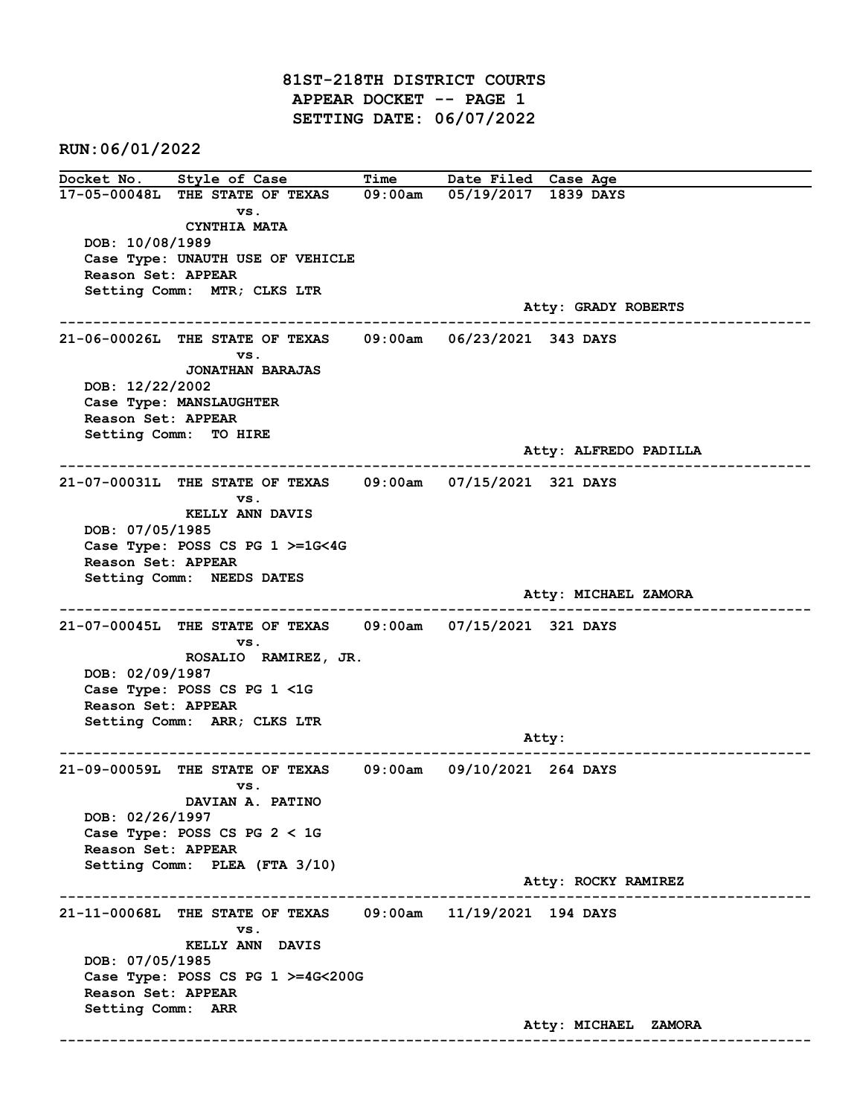81ST-218TH DISTRICT COURTS APPEAR DOCKET -- PAGE 1 SETTING DATE: 06/07/2022

RUN:06/01/2022

Docket No. Style of Case Time Date Filed Case Age 17-05-00048L THE STATE OF TEXAS 09:00am 05/19/2017 1839 DAYS vs. CYNTHIA MATA DOB: 10/08/1989 Case Type: UNAUTH USE OF VEHICLE Reason Set: APPEAR Setting Comm: MTR; CLKS LTR Atty: GRADY ROBERTS ------------------------------------------------------------------------------------------------------------------------ 21-06-00026L THE STATE OF TEXAS 09:00am 06/23/2021 343 DAYS vs. JONATHAN BARAJAS DOB: 12/22/2002 Case Type: MANSLAUGHTER Reason Set: APPEAR Setting Comm: TO HIRE Atty: ALFREDO PADILLA ------------------------------------------------------------------------------------------------------------------------ 21-07-00031L THE STATE OF TEXAS 09:00am 07/15/2021 321 DAYS vs. KELLY ANN DAVIS DOB: 07/05/1985 Case Type: POSS CS PG 1 >=1G<4G Reason Set: APPEAR Setting Comm: NEEDS DATES Atty: MICHAEL ZAMORA ------------------------------------------------------------------------------------------------------------------------ 21-07-00045L THE STATE OF TEXAS 09:00am 07/15/2021 321 DAYS vs. ROSALIO RAMIREZ, JR. DOB: 02/09/1987 Case Type: POSS CS PG 1 <1G Reason Set: APPEAR Setting Comm: ARR; CLKS LTR Atty: ------------------------------------------------------------------------------------------------------------------------ 21-09-00059L THE STATE OF TEXAS 09:00am 09/10/2021 264 DAYS vs. DAVIAN A. PATINO DOB: 02/26/1997 Case Type: POSS CS PG 2 < 1G Reason Set: APPEAR Setting Comm: PLEA (FTA 3/10) Atty: ROCKY RAMIREZ ------------------------------------------------------------------------------------------------------------------------ 21-11-00068L THE STATE OF TEXAS 09:00am 11/19/2021 194 DAYS vs. KELLY ANN DAVIS DOB: 07/05/1985 Case Type: POSS CS PG 1 >=4G<200G Reason Set: APPEAR Setting Comm: ARR Atty: MICHAEL ZAMORA ------------------------------------------------------------------------------------------------------------------------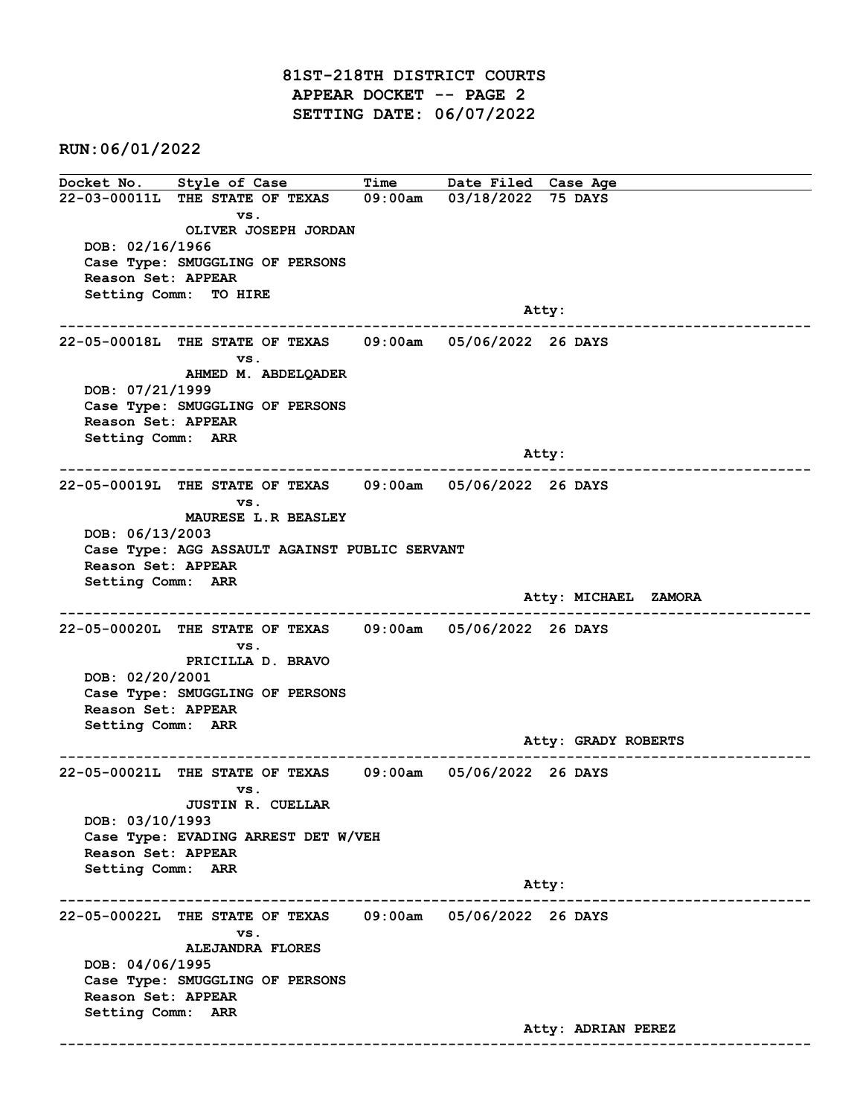81ST-218TH DISTRICT COURTS APPEAR DOCKET -- PAGE 2 SETTING DATE: 06/07/2022

RUN:06/01/2022

Docket No. Style of Case Time Date Filed Case Age 22-03-00011L THE STATE OF TEXAS 09:00am 03/18/2022 75 DAYS vs. OLIVER JOSEPH JORDAN DOB: 02/16/1966 Case Type: SMUGGLING OF PERSONS Reason Set: APPEAR Setting Comm: TO HIRE and the control of the control of the control of the control of the control of the control of the control of the control of the control of the control of the control of the control of the control of the control of the cont ------------------------------------------------------------------------------------------------------------------------ 22-05-00018L THE STATE OF TEXAS 09:00am 05/06/2022 26 DAYS vs. AHMED M. ABDELQADER DOB: 07/21/1999 Case Type: SMUGGLING OF PERSONS Reason Set: APPEAR Setting Comm: ARR and the control of the control of the control of the control of the control of the control of the control of the control of the control of the control of the control of the control of the control of the control of the cont ------------------------------------------------------------------------------------------------------------------------ 22-05-00019L THE STATE OF TEXAS 09:00am 05/06/2022 26 DAYS vs. MAURESE L.R BEASLEY DOB: 06/13/2003 Case Type: AGG ASSAULT AGAINST PUBLIC SERVANT Reason Set: APPEAR Setting Comm: ARR Atty: MICHAEL ZAMORA ------------------------------------------------------------------------------------------------------------------------ 22-05-00020L THE STATE OF TEXAS 09:00am 05/06/2022 26 DAYS vs. PRICILLA D. BRAVO DOB: 02/20/2001 Case Type: SMUGGLING OF PERSONS Reason Set: APPEAR Setting Comm: ARR Atty: GRADY ROBERTS ------------------------------------------------------------------------------------------------------------------------ 22-05-00021L THE STATE OF TEXAS 09:00am 05/06/2022 26 DAYS vs. JUSTIN R. CUELLAR DOB: 03/10/1993 Case Type: EVADING ARREST DET W/VEH Reason Set: APPEAR Setting Comm: ARR Atty: ------------------------------------------------------------------------------------------------------------------------ 22-05-00022L THE STATE OF TEXAS 09:00am 05/06/2022 26 DAYS vs. ALEJANDRA FLORES DOB: 04/06/1995 Case Type: SMUGGLING OF PERSONS Reason Set: APPEAR Setting Comm: ARR Atty: ADRIAN PEREZ ------------------------------------------------------------------------------------------------------------------------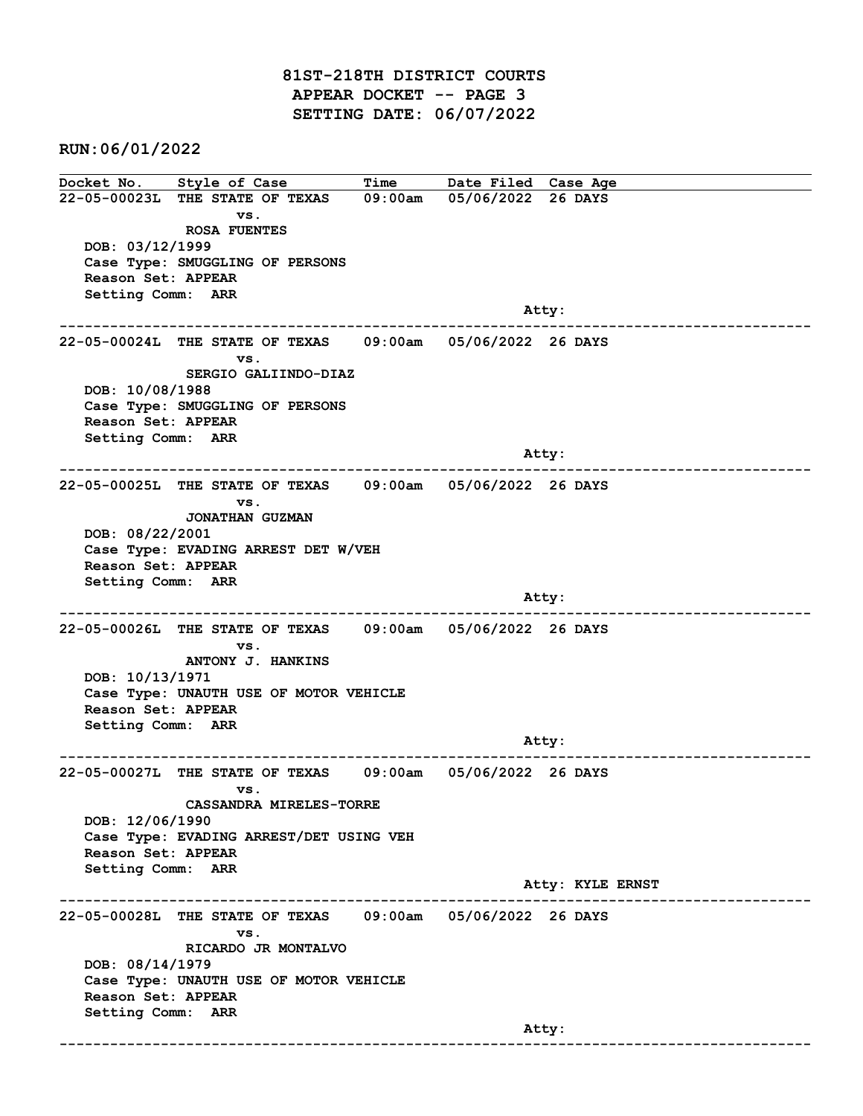81ST-218TH DISTRICT COURTS APPEAR DOCKET -- PAGE 3 SETTING DATE: 06/07/2022

RUN:06/01/2022

Docket No. Style of Case Time Date Filed Case Age 22-05-00023L THE STATE OF TEXAS 09:00am 05/06/2022 26 DAYS vs. ROSA FUENTES DOB: 03/12/1999 Case Type: SMUGGLING OF PERSONS Reason Set: APPEAR Setting Comm: ARR and the control of the control of the control of the control of the control of the control of the control of the control of the control of the control of the control of the control of the control of the control of the cont ------------------------------------------------------------------------------------------------------------------------ 22-05-00024L THE STATE OF TEXAS 09:00am 05/06/2022 26 DAYS vs. SERGIO GALIINDO-DIAZ DOB: 10/08/1988 Case Type: SMUGGLING OF PERSONS Reason Set: APPEAR Setting Comm: ARR Atty: ------------------------------------------------------------------------------------------------------------------------ 22-05-00025L THE STATE OF TEXAS 09:00am 05/06/2022 26 DAYS vs. JONATHAN GUZMAN DOB: 08/22/2001 Case Type: EVADING ARREST DET W/VEH Reason Set: APPEAR Setting Comm: ARR and the control of the control of the control of the control of the control of the control of the control of the control of the control of the control of the control of the control of the control of the control of the cont ------------------------------------------------------------------------------------------------------------------------ 22-05-00026L THE STATE OF TEXAS 09:00am 05/06/2022 26 DAYS vs. ANTONY J. HANKINS DOB: 10/13/1971 Case Type: UNAUTH USE OF MOTOR VEHICLE Reason Set: APPEAR Setting Comm: ARR example of the contract of the contract of the contract of the contract of the contract of the contract of the contract of the contract of the contract of the contract of the contract of the contract of the contract of the ------------------------------------------------------------------------------------------------------------------------ 22-05-00027L THE STATE OF TEXAS 09:00am 05/06/2022 26 DAYS vs. CASSANDRA MIRELES-TORRE DOB: 12/06/1990 Case Type: EVADING ARREST/DET USING VEH Reason Set: APPEAR Setting Comm: ARR Atty: KYLE ERNST ------------------------------------------------------------------------------------------------------------------------ 22-05-00028L THE STATE OF TEXAS 09:00am 05/06/2022 26 DAYS vs. RICARDO JR MONTALVO DOB: 08/14/1979 Case Type: UNAUTH USE OF MOTOR VEHICLE Reason Set: APPEAR Setting Comm: ARR and the control of the control of the control of the control of the control of the control of the control of the control of the control of the control of the control of the control of the control of the control of the cont ------------------------------------------------------------------------------------------------------------------------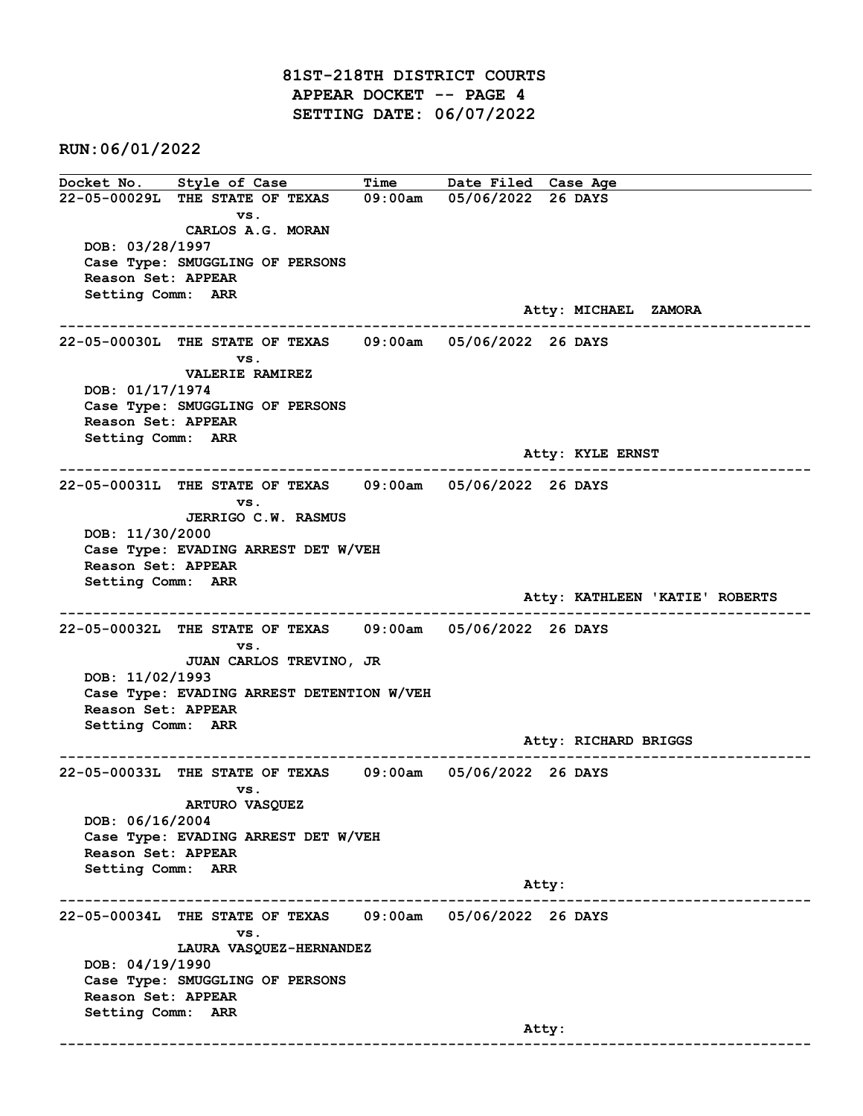81ST-218TH DISTRICT COURTS APPEAR DOCKET -- PAGE 4 SETTING DATE: 06/07/2022

RUN:06/01/2022

Docket No. Style of Case Time Date Filed Case Age 22-05-00029L THE STATE OF TEXAS 09:00am 05/06/2022 26 DAYS vs. CARLOS A.G. MORAN DOB: 03/28/1997 Case Type: SMUGGLING OF PERSONS Reason Set: APPEAR Setting Comm: ARR Atty: MICHAEL ZAMORA ------------------------------------------------------------------------------------------------------------------------ 22-05-00030L THE STATE OF TEXAS 09:00am 05/06/2022 26 DAYS vs. VALERIE RAMIREZ DOB: 01/17/1974 Case Type: SMUGGLING OF PERSONS Reason Set: APPEAR Setting Comm: ARR Atty: KYLE ERNST ------------------------------------------------------------------------------------------------------------------------ 22-05-00031L THE STATE OF TEXAS 09:00am 05/06/2022 26 DAYS vs. JERRIGO C.W. RASMUS DOB: 11/30/2000 Case Type: EVADING ARREST DET W/VEH Reason Set: APPEAR Setting Comm: ARR Atty: KATHLEEN 'KATIE' ROBERTS ------------------------------------------------------------------------------------------------------------------------ 22-05-00032L THE STATE OF TEXAS 09:00am 05/06/2022 26 DAYS vs. JUAN CARLOS TREVINO, JR DOB: 11/02/1993 Case Type: EVADING ARREST DETENTION W/VEH Reason Set: APPEAR Setting Comm: ARR Atty: RICHARD BRIGGS ------------------------------------------------------------------------------------------------------------------------ 22-05-00033L THE STATE OF TEXAS 09:00am 05/06/2022 26 DAYS vs. ARTURO VASQUEZ DOB: 06/16/2004 Case Type: EVADING ARREST DET W/VEH Reason Set: APPEAR Setting Comm: ARR Atty: ------------------------------------------------------------------------------------------------------------------------ 22-05-00034L THE STATE OF TEXAS 09:00am 05/06/2022 26 DAYS vs. LAURA VASQUEZ-HERNANDEZ DOB: 04/19/1990 Case Type: SMUGGLING OF PERSONS Reason Set: APPEAR Setting Comm: ARR and the control of the control of the control of the control of the control of the control of the control of the control of the control of the control of the control of the control of the control of the control of the cont ------------------------------------------------------------------------------------------------------------------------